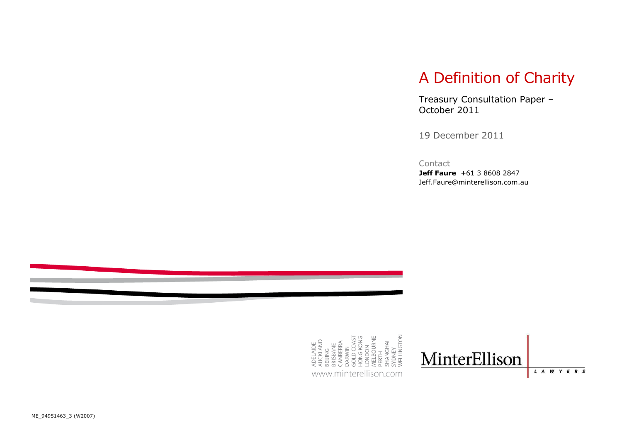## <span id="page-0-0"></span>A Definition of Charity

<span id="page-0-1"></span>Treasury Consultation Paper – October 2011

19 December 2011

Contact

**Jeff Faure** +61 3 8608 2847 Jeff.Faure@minterellison.com.au





 $L A W Y E R S$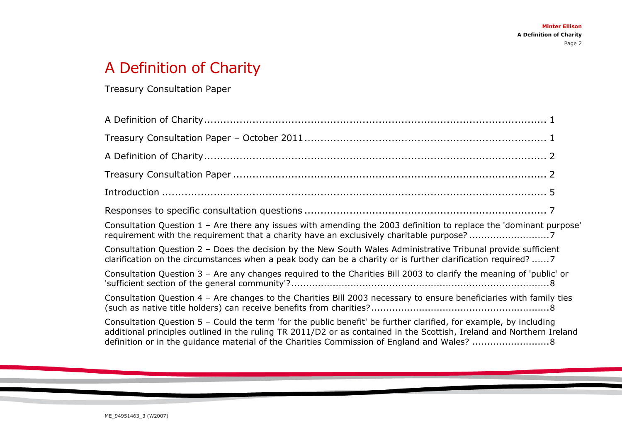# <span id="page-1-0"></span>A Definition of Charity

<span id="page-1-1"></span>Treasury Consultation Paper

| Consultation Question 1 - Are there any issues with amending the 2003 definition to replace the 'dominant purpose'<br>requirement with the requirement that a charity have an exclusively charitable purpose?7                                                                                                                           |
|------------------------------------------------------------------------------------------------------------------------------------------------------------------------------------------------------------------------------------------------------------------------------------------------------------------------------------------|
| Consultation Question 2 - Does the decision by the New South Wales Administrative Tribunal provide sufficient<br>clarification on the circumstances when a peak body can be a charity or is further clarification required? 7                                                                                                            |
| Consultation Question 3 - Are any changes required to the Charities Bill 2003 to clarify the meaning of 'public' or                                                                                                                                                                                                                      |
| Consultation Question 4 - Are changes to the Charities Bill 2003 necessary to ensure beneficiaries with family ties                                                                                                                                                                                                                      |
| Consultation Question 5 - Could the term 'for the public benefit' be further clarified, for example, by including<br>additional principles outlined in the ruling TR 2011/D2 or as contained in the Scottish, Ireland and Northern Ireland<br>definition or in the guidance material of the Charities Commission of England and Wales? 8 |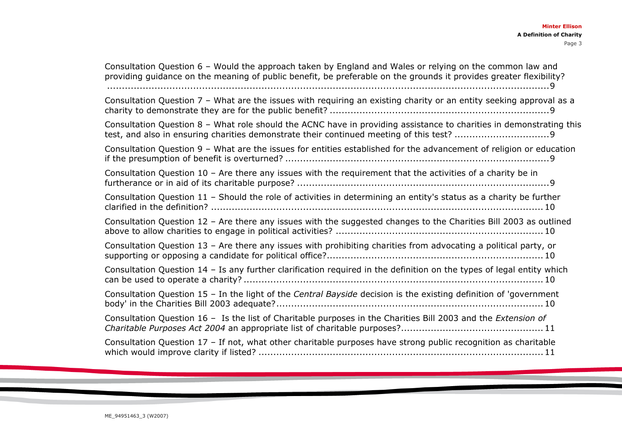| Consultation Question 6 - Would the approach taken by England and Wales or relying on the common law and<br>providing guidance on the meaning of public benefit, be preferable on the grounds it provides greater flexibility? |
|--------------------------------------------------------------------------------------------------------------------------------------------------------------------------------------------------------------------------------|
| Consultation Question 7 - What are the issues with requiring an existing charity or an entity seeking approval as a                                                                                                            |
| Consultation Question 8 - What role should the ACNC have in providing assistance to charities in demonstrating this                                                                                                            |
| Consultation Question 9 - What are the issues for entities established for the advancement of religion or education                                                                                                            |
| Consultation Question 10 - Are there any issues with the requirement that the activities of a charity be in                                                                                                                    |
| Consultation Question 11 - Should the role of activities in determining an entity's status as a charity be further                                                                                                             |
| Consultation Question 12 - Are there any issues with the suggested changes to the Charities Bill 2003 as outlined                                                                                                              |
| Consultation Question 13 - Are there any issues with prohibiting charities from advocating a political party, or                                                                                                               |
| Consultation Question 14 - Is any further clarification required in the definition on the types of legal entity which                                                                                                          |
| Consultation Question 15 - In the light of the Central Bayside decision is the existing definition of 'government                                                                                                              |
| Consultation Question 16 - Is the list of Charitable purposes in the Charities Bill 2003 and the Extension of                                                                                                                  |
| Consultation Question 17 - If not, what other charitable purposes have strong public recognition as charitable                                                                                                                 |

the contract of the contract of the contract of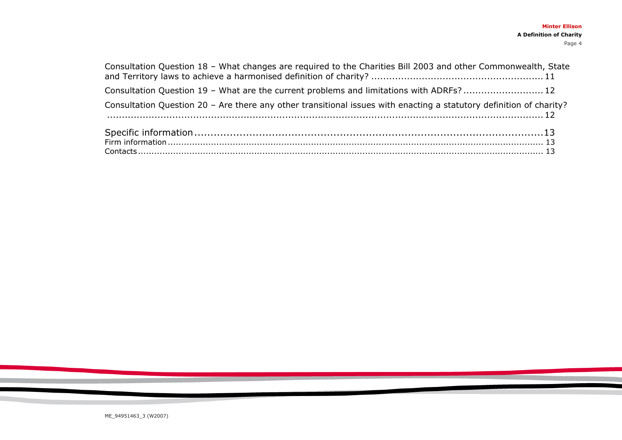| Consultation Question 18 - What changes are required to the Charities Bill 2003 and other Commonwealth, State               |  |
|-----------------------------------------------------------------------------------------------------------------------------|--|
| Consultation Question 19 - What are the current problems and limitations with ADRFs? 12                                     |  |
| Consultation Question 20 - Are there any other transitional issues with enacting a statutory definition of charity?<br>$12$ |  |
|                                                                                                                             |  |
|                                                                                                                             |  |
|                                                                                                                             |  |

the contract of the contract of the contract of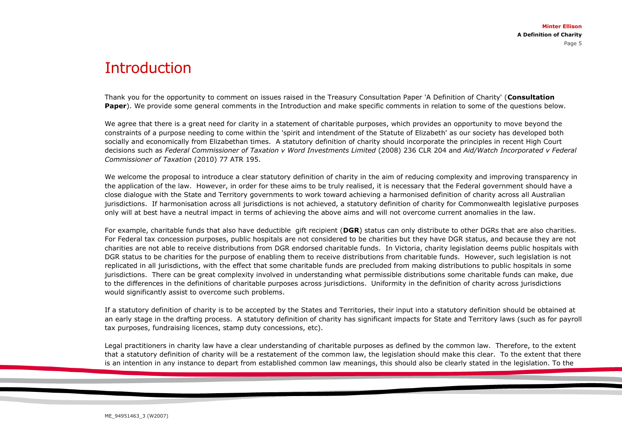### <span id="page-4-0"></span>**Introduction**

Thank you for the opportunity to comment on issues raised in the Treasury Consultation Paper 'A Definition of Charity' (**Consultation Paper**). We provide some general comments in the Introduction and make specific comments in relation to some of the questions below.

We agree that there is a great need for clarity in a statement of charitable purposes, which provides an opportunity to move beyond the constraints of a purpose needing to come within the 'spirit and intendment of the Statute of Elizabeth' as our society has developed both socially and economically from Elizabethan times. A statutory definition of charity should incorporate the principles in recent High Court decisions such as *Federal Commissioner of Taxation v Word Investments Limited* (2008) 236 CLR 204 and *Aid/Watch Incorporated v Federal Commissioner of Taxation* (2010) 77 ATR 195.

We welcome the proposal to introduce a clear statutory definition of charity in the aim of reducing complexity and improving transparency in the application of the law. However, in order for these aims to be truly realised, it is necessary that the Federal government should have a close dialogue with the State and Territory governments to work toward achieving a harmonised definition of charity across all Australian jurisdictions. If harmonisation across all jurisdictions is not achieved, a statutory definition of charity for Commonwealth legislative purposes only will at best have a neutral impact in terms of achieving the above aims and will not overcome current anomalies in the law.

For example, charitable funds that also have deductible gift recipient (**DGR**) status can only distribute to other DGRs that are also charities. For Federal tax concession purposes, public hospitals are not considered to be charities but they have DGR status, and because they are not charities are not able to receive distributions from DGR endorsed charitable funds. In Victoria, charity legislation deems public hospitals with DGR status to be charities for the purpose of enabling them to receive distributions from charitable funds. However, such legislation is not replicated in all jurisdictions, with the effect that some charitable funds are precluded from making distributions to public hospitals in some jurisdictions. There can be great complexity involved in understanding what permissible distributions some charitable funds can make, due to the differences in the definitions of charitable purposes across jurisdictions. Uniformity in the definition of charity across jurisdictions would significantly assist to overcome such problems.

If a statutory definition of charity is to be accepted by the States and Territories, their input into a statutory definition should be obtained at an early stage in the drafting process. A statutory definition of charity has significant impacts for State and Territory laws (such as for payroll tax purposes, fundraising licences, stamp duty concessions, etc).

Legal practitioners in charity law have a clear understanding of charitable purposes as defined by the common law. Therefore, to the extent that a statutory definition of charity will be a restatement of the common law, the legislation should make this clear. To the extent that there is an intention in any instance to depart from established common law meanings, this should also be clearly stated in the legislation. To the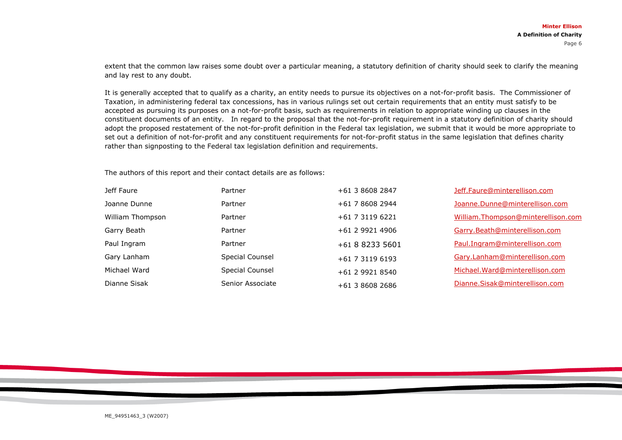extent that the common law raises some doubt over a particular meaning, a statutory definition of charity should seek to clarify the meaning and lay rest to any doubt.

It is generally accepted that to qualify as a charity, an entity needs to pursue its objectives on a not-for-profit basis. The Commissioner of Taxation, in administering federal tax concessions, has in various rulings set out certain requirements that an entity must satisfy to be accepted as pursuing its purposes on a not-for-profit basis, such as requirements in relation to appropriate winding up clauses in the constituent documents of an entity. In regard to the proposal that the not-for-profit requirement in a statutory definition of charity should adopt the proposed restatement of the not-for-profit definition in the Federal tax legislation, we submit that it would be more appropriate to set out a definition of not-for-profit and any constituent requirements for not-for-profit status in the same legislation that defines charity rather than signposting to the Federal tax legislation definition and requirements.

The authors of this report and their contact details are as follows:

| Jeff Faure       | Partner          | +61 3 8608 2847 | Jeff.Faure@minterellison.com       |
|------------------|------------------|-----------------|------------------------------------|
| Joanne Dunne     | Partner          | +61 7 8608 2944 | Joanne.Dunne@minterellison.com     |
| William Thompson | Partner          | +61 7 3119 6221 | William.Thompson@minterellison.com |
| Garry Beath      | Partner          | +61 2 9921 4906 | Garry.Beath@minterellison.com      |
| Paul Ingram      | Partner          | +61 8 8233 5601 | Paul.Ingram@minterellison.com      |
| Gary Lanham      | Special Counsel  | +61 7 3119 6193 | Gary.Lanham@minterellison.com      |
| Michael Ward     | Special Counsel  | +61 2 9921 8540 | Michael.Ward@minterellison.com     |
| Dianne Sisak     | Senior Associate | +61 3 8608 2686 | Dianne.Sisak@minterellison.com     |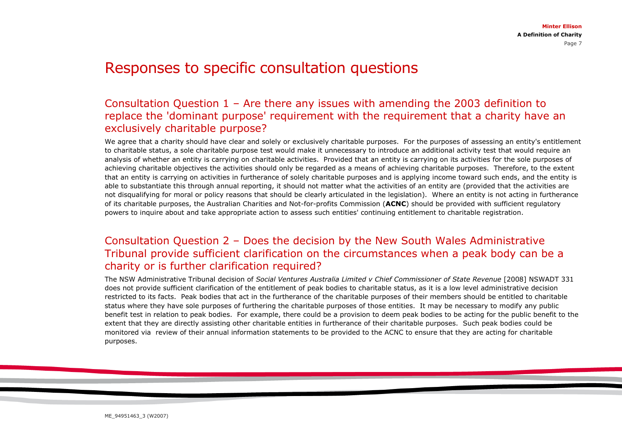## <span id="page-6-0"></span>Responses to specific consultation questions

#### <span id="page-6-1"></span>Consultation Question 1 – Are there any issues with amending the 2003 definition to replace the 'dominant purpose' requirement with the requirement that a charity have an exclusively charitable purpose?

We agree that a charity should have clear and solely or exclusively charitable purposes. For the purposes of assessing an entity's entitlement to charitable status, a sole charitable purpose test would make it unnecessary to introduce an additional activity test that would require an analysis of whether an entity is carrying on charitable activities. Provided that an entity is carrying on its activities for the sole purposes of achieving charitable objectives the activities should only be regarded as a means of achieving charitable purposes. Therefore, to the extent that an entity is carrying on activities in furtherance of solely charitable purposes and is applying income toward such ends, and the entity is able to substantiate this through annual reporting, it should not matter what the activities of an entity are (provided that the activities are not disqualifying for moral or policy reasons that should be clearly articulated in the legislation). Where an entity is not acting in furtherance of its charitable purposes, the Australian Charities and Not-for-profits Commission (**ACNC**) should be provided with sufficient regulatory powers to inquire about and take appropriate action to assess such entities' continuing entitlement to charitable registration.

#### <span id="page-6-2"></span>Consultation Question 2 – Does the decision by the New South Wales Administrative Tribunal provide sufficient clarification on the circumstances when a peak body can be a charity or is further clarification required?

The NSW Administrative Tribunal decision of *Social Ventures Australia Limited v Chief Commissioner of State Revenue* [2008] NSWADT 331 does not provide sufficient clarification of the entitlement of peak bodies to charitable status, as it is a low level administrative decision restricted to its facts. Peak bodies that act in the furtherance of the charitable purposes of their members should be entitled to charitable status where they have sole purposes of furthering the charitable purposes of those entities. It may be necessary to modify any public benefit test in relation to peak bodies. For example, there could be a provision to deem peak bodies to be acting for the public benefit to the extent that they are directly assisting other charitable entities in furtherance of their charitable purposes. Such peak bodies could be monitored via review of their annual information statements to be provided to the ACNC to ensure that they are acting for charitable purposes.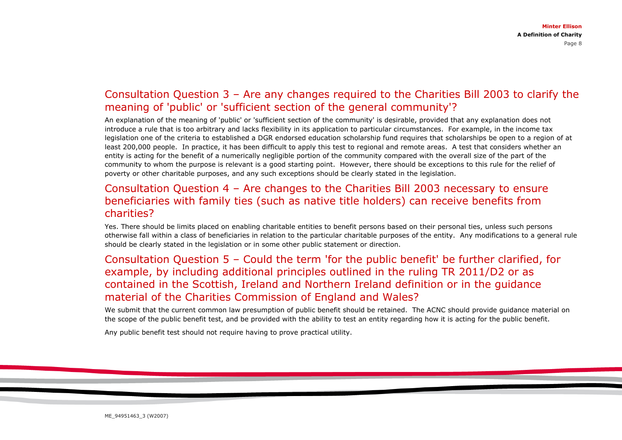#### <span id="page-7-0"></span>Consultation Question 3 – Are any changes required to the Charities Bill 2003 to clarify the meaning of 'public' or 'sufficient section of the general community'?

An explanation of the meaning of 'public' or 'sufficient section of the community' is desirable, provided that any explanation does not introduce a rule that is too arbitrary and lacks flexibility in its application to particular circumstances. For example, in the income tax legislation one of the criteria to established a DGR endorsed education scholarship fund requires that scholarships be open to a region of at least 200,000 people. In practice, it has been difficult to apply this test to regional and remote areas. A test that considers whether an entity is acting for the benefit of a numerically negligible portion of the community compared with the overall size of the part of the community to whom the purpose is relevant is a good starting point. However, there should be exceptions to this rule for the relief of poverty or other charitable purposes, and any such exceptions should be clearly stated in the legislation.

#### <span id="page-7-1"></span>Consultation Question 4 – Are changes to the Charities Bill 2003 necessary to ensure beneficiaries with family ties (such as native title holders) can receive benefits from charities?

Yes. There should be limits placed on enabling charitable entities to benefit persons based on their personal ties, unless such persons otherwise fall within a class of beneficiaries in relation to the particular charitable purposes of the entity. Any modifications to a general rule should be clearly stated in the legislation or in some other public statement or direction.

#### <span id="page-7-2"></span>Consultation Question 5 – Could the term 'for the public benefit' be further clarified, for example, by including additional principles outlined in the ruling TR 2011/D2 or as contained in the Scottish, Ireland and Northern Ireland definition or in the guidance material of the Charities Commission of England and Wales?

We submit that the current common law presumption of public benefit should be retained. The ACNC should provide guidance material on the scope of the public benefit test, and be provided with the ability to test an entity regarding how it is acting for the public benefit.

Any public benefit test should not require having to prove practical utility.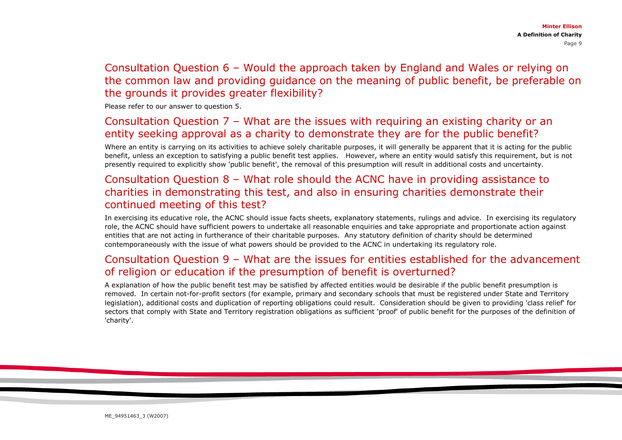#### <span id="page-8-0"></span>Consultation Question 6 – Would the approach taken by England and Wales or relying on the common law and providing guidance on the meaning of public benefit, be preferable on the grounds it provides greater flexibility?

Please refer to our answer to question 5.

#### <span id="page-8-1"></span>Consultation Question 7 – What are the issues with requiring an existing charity or an entity seeking approval as a charity to demonstrate they are for the public benefit?

Where an entity is carrying on its activities to achieve solely charitable purposes, it will generally be apparent that it is acting for the public benefit, unless an exception to satisfying a public benefit test applies. However, where an entity would satisfy this requirement, but is not presently required to explicitly show 'public benefit', the removal of this presumption will result in additional costs and uncertainty.

#### <span id="page-8-2"></span>Consultation Question 8 – What role should the ACNC have in providing assistance to charities in demonstrating this test, and also in ensuring charities demonstrate their continued meeting of this test?

In exercising its educative role, the ACNC should issue facts sheets, explanatory statements, rulings and advice. In exercising its regulatory role, the ACNC should have sufficient powers to undertake all reasonable enquiries and take appropriate and proportionate action against entities that are not acting in furtherance of their charitable purposes. Any statutory definition of charity should be determined contemporaneously with the issue of what powers should be provided to the ACNC in undertaking its regulatory role.

#### <span id="page-8-4"></span><span id="page-8-3"></span>Consultation Question 9 – What are the issues for entities established for the advancement of religion or education if the presumption of benefit is overturned?

A explanation of how the public benefit test may be satisfied by affected entities would be desirable if the public benefit presumption is removed. In certain not-for-profit sectors (for example, primary and secondary schools that must be registered under State and Territory legislation), additional costs and duplication of reporting obligations could result. Consideration should be given to providing 'class relief' for sectors that comply with State and Territory registration obligations as sufficient 'proof' of public benefit for the purposes of the definition of 'charity'.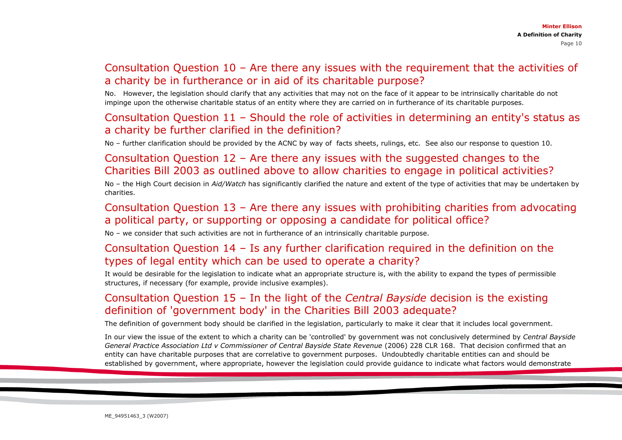#### Consultation Question 10 – Are there any issues with the requirement that the activities of a charity be in furtherance or in aid of its charitable purpose?

No. However, the legislation should clarify that any activities that may not on the face of it appear to be intrinsically charitable do not impinge upon the otherwise charitable status of an entity where they are carried on in furtherance of its charitable purposes.

#### <span id="page-9-0"></span>Consultation Question 11 – Should the role of activities in determining an entity's status as a charity be further clarified in the definition?

No – further clarification should be provided by the ACNC by way of facts sheets, rulings, etc. See also our response to question 10.

### <span id="page-9-1"></span>Consultation Question 12 – Are there any issues with the suggested changes to the Charities Bill 2003 as outlined above to allow charities to engage in political activities?

No – the High Court decision in *Aid/Watch* has significantly clarified the nature and extent of the type of activities that may be undertaken by charities.

#### <span id="page-9-2"></span>Consultation Question 13 – Are there any issues with prohibiting charities from advocating a political party, or supporting or opposing a candidate for political office?

No – we consider that such activities are not in furtherance of an intrinsically charitable purpose.

### <span id="page-9-3"></span>Consultation Question 14 – Is any further clarification required in the definition on the types of legal entity which can be used to operate a charity?

It would be desirable for the legislation to indicate what an appropriate structure is, with the ability to expand the types of permissible structures, if necessary (for example, provide inclusive examples).

### <span id="page-9-4"></span>Consultation Question 15 – In the light of the *Central Bayside* decision is the existing definition of 'government body' in the Charities Bill 2003 adequate?

The definition of government body should be clarified in the legislation, particularly to make it clear that it includes local government.

In our view the issue of the extent to which a charity can be 'controlled' by government was not conclusively determined by *Central Bayside*  General Practice Association Ltd v Commissioner of Central Bayside State Revenue (2006) 228 CLR 168. That decision confirmed that an entity can have charitable purposes that are correlative to government purposes. Undoubtedly charitable entities can and should be established by government, where appropriate, however the legislation could provide guidance to indicate what factors would demonstrate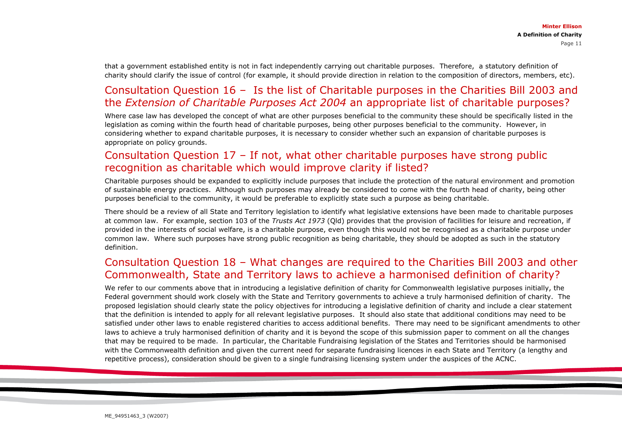that a government established entity is not in fact independently carrying out charitable purposes. Therefore, a statutory definition of charity should clarify the issue of control (for example, it should provide direction in relation to the composition of directors, members, etc).

### <span id="page-10-0"></span>Consultation Question 16 – Is the list of Charitable purposes in the Charities Bill 2003 and the *Extension of Charitable Purposes Act 2004* an appropriate list of charitable purposes?

Where case law has developed the concept of what are other purposes beneficial to the community these should be specifically listed in the legislation as coming within the fourth head of charitable purposes, being other purposes beneficial to the community. However, in considering whether to expand charitable purposes, it is necessary to consider whether such an expansion of charitable purposes is appropriate on policy grounds.

#### <span id="page-10-1"></span>Consultation Question 17 – If not, what other charitable purposes have strong public recognition as charitable which would improve clarity if listed?

Charitable purposes should be expanded to explicitly include purposes that include the protection of the natural environment and promotion of sustainable energy practices. Although such purposes may already be considered to come with the fourth head of charity, being other purposes beneficial to the community, it would be preferable to explicitly state such a purpose as being charitable.

There should be a review of all State and Territory legislation to identify what legislative extensions have been made to charitable purposes at common law. For example, section 103 of the *Trusts Act 1973* (Qld) provides that the provision of facilities for leisure and recreation, if provided in the interests of social welfare, is a charitable purpose, even though this would not be recognised as a charitable purpose under common law. Where such purposes have strong public recognition as being charitable, they should be adopted as such in the statutory definition.

#### <span id="page-10-2"></span>Consultation Question 18 – What changes are required to the Charities Bill 2003 and other Commonwealth, State and Territory laws to achieve a harmonised definition of charity?

We refer to our comments above that in introducing a legislative definition of charity for Commonwealth legislative purposes initially, the Federal government should work closely with the State and Territory governments to achieve a truly harmonised definition of charity. The proposed legislation should clearly state the policy objectives for introducing a legislative definition of charity and include a clear statement that the definition is intended to apply for all relevant legislative purposes. It should also state that additional conditions may need to be satisfied under other laws to enable registered charities to access additional benefits. There may need to be significant amendments to other laws to achieve a truly harmonised definition of charity and it is beyond the scope of this submission paper to comment on all the changes that may be required to be made. In particular, the Charitable Fundraising legislation of the States and Territories should be harmonised with the Commonwealth definition and given the current need for separate fundraising licences in each State and Territory (a lengthy and repetitive process), consideration should be given to a single fundraising licensing system under the auspices of the ACNC.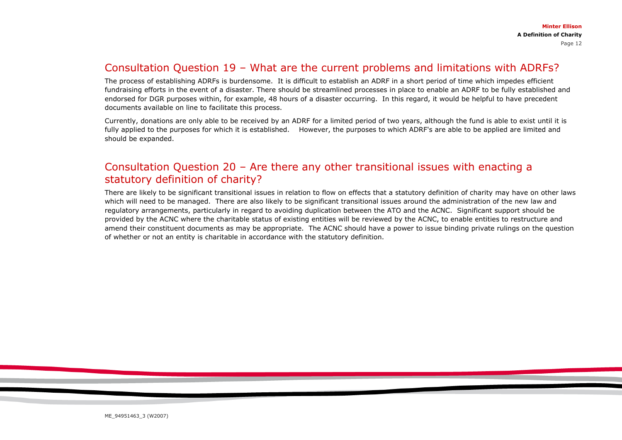#### <span id="page-11-0"></span>Consultation Question 19 – What are the current problems and limitations with ADRFs?

The process of establishing ADRFs is burdensome. It is difficult to establish an ADRF in a short period of time which impedes efficient fundraising efforts in the event of a disaster. There should be streamlined processes in place to enable an ADRF to be fully established and endorsed for DGR purposes within, for example, 48 hours of a disaster occurring. In this regard, it would be helpful to have precedent documents available on line to facilitate this process.

Currently, donations are only able to be received by an ADRF for a limited period of two years, although the fund is able to exist until it is fully applied to the purposes for which it is established. However, the purposes to which ADRF's are able to be applied are limited and should be expanded.

#### <span id="page-11-1"></span>Consultation Question 20 – Are there any other transitional issues with enacting a statutory definition of charity?

There are likely to be significant transitional issues in relation to flow on effects that a statutory definition of charity may have on other laws which will need to be managed. There are also likely to be significant transitional issues around the administration of the new law and regulatory arrangements, particularly in regard to avoiding duplication between the ATO and the ACNC. Significant support should be provided by the ACNC where the charitable status of existing entities will be reviewed by the ACNC, to enable entities to restructure and amend their constituent documents as may be appropriate. The ACNC should have a power to issue binding private rulings on the question of whether or not an entity is charitable in accordance with the statutory definition.